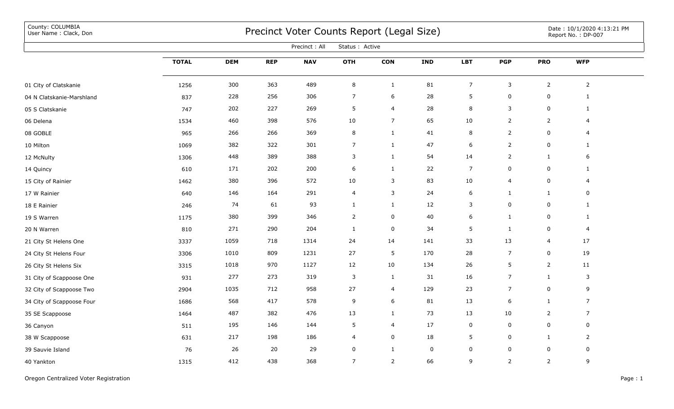County: COLUMBIA<br>User Name: Clack, Don

## COUNTY: COLUMBIA<br>User Name : Clack, Don Date : 10/1/2020 4:13:21 PM

Report No. : DP-007

| Precinct: All<br>Status : Active |              |            |            |            |                |                |            |                |                             |                     |                |  |
|----------------------------------|--------------|------------|------------|------------|----------------|----------------|------------|----------------|-----------------------------|---------------------|----------------|--|
|                                  | <b>TOTAL</b> | <b>DEM</b> | <b>REP</b> | <b>NAV</b> | <b>OTH</b>     | <b>CON</b>     | <b>IND</b> | <b>LBT</b>     | $\ensuremath{\mathsf{PGP}}$ | <b>PRO</b>          | <b>WFP</b>     |  |
| 01 City of Clatskanie            | 1256         | 300        | 363        | 489        | $\bf8$         | $\mathbf{1}$   | 81         | $\overline{7}$ | $\mathbf{3}$                | $\overline{2}$      | $\overline{2}$ |  |
| 04 N Clatskanie-Marshland        | 837          | 228        | 256        | 306        | $\overline{7}$ | 6              | 28         | 5              | $\mathbf 0$                 | 0                   | $\mathbf{1}$   |  |
| 05 S Clatskanie                  | 747          | 202        | 227        | 269        | 5              | $\overline{4}$ | 28         | 8              | 3                           | $\mathbf 0$         | $\mathbf{1}$   |  |
| 06 Delena                        | 1534         | 460        | 398        | 576        | $10\,$         | $\overline{7}$ | 65         | 10             | $\overline{2}$              | $\overline{2}$      | 4              |  |
| 08 GOBLE                         | 965          | 266        | 266        | 369        | $\,8\,$        | $\mathbf{1}$   | 41         | 8              | $\overline{2}$              | $\pmb{0}$           | 4              |  |
| 10 Milton                        | 1069         | 382        | 322        | 301        | $\overline{7}$ | $\mathbf{1}$   | 47         | 6              | $\overline{2}$              | $\mathbf 0$         | $\mathbf{1}$   |  |
| 12 McNulty                       | 1306         | 448        | 389        | 388        | $\mathsf 3$    | $\mathbf{1}$   | 54         | 14             | $\overline{2}$              | $\mathbf{1}$        | 6              |  |
| 14 Quincy                        | 610          | 171        | 202        | 200        | 6              | $\mathbf{1}$   | 22         | $\overline{7}$ | $\mathsf 0$                 | $\pmb{0}$           | $\mathbf{1}$   |  |
| 15 City of Rainier               | 1462         | 380        | 396        | 572        | $10\,$         | 3              | 83         | 10             | 4                           | 0                   | 4              |  |
| 17 W Rainier                     | 640          | 146        | 164        | 291        | $\overline{4}$ | $\mathsf{3}$   | 24         | 6              | $\mathbf{1}$                | $\mathbf{1}$        | 0              |  |
| 18 E Rainier                     | 246          | 74         | 61         | 93         | $\mathbf{1}$   | $\mathbf{1}$   | 12         | 3              | $\mathbf 0$                 | $\pmb{0}$           | $\mathbf{1}$   |  |
| 19 S Warren                      | 1175         | 380        | 399        | 346        | $\overline{2}$ | $\mathbf 0$    | 40         | 6              | $\mathbf{1}$                | 0                   | $\mathbf{1}$   |  |
| 20 N Warren                      | 810          | 271        | 290        | 204        | $\mathbf{1}$   | 0              | 34         | 5              | $\mathbf{1}$                | 0                   | 4              |  |
| 21 City St Helens One            | 3337         | 1059       | 718        | 1314       | 24             | 14             | 141        | 33             | 13                          | $\overline{4}$      | 17             |  |
| 24 City St Helens Four           | 3306         | 1010       | 809        | 1231       | 27             | $\sqrt{5}$     | 170        | 28             | $\overline{7}$              | $\mathsf{O}\xspace$ | 19             |  |
| 26 City St Helens Six            | 3315         | 1018       | 970        | 1127       | $12\,$         | $10\,$         | 134        | 26             | 5                           | $\overline{2}$      | 11             |  |
| 31 City of Scappoose One         | 931          | 277        | 273        | 319        | $\overline{3}$ | $\mathbf{1}$   | 31         | 16             | $\overline{7}$              | $\mathbf{1}$        | 3              |  |
| 32 City of Scappoose Two         | 2904         | 1035       | 712        | 958        | 27             | $\overline{4}$ | 129        | 23             | $\overline{7}$              | $\pmb{0}$           | 9              |  |
| 34 City of Scappoose Four        | 1686         | 568        | 417        | 578        | 9              | 6              | 81         | 13             | 6                           | $\mathbf{1}$        | 7              |  |
| 35 SE Scappoose                  | 1464         | 487        | 382        | 476        | 13             | $\mathbf{1}$   | 73         | 13             | 10                          | $\overline{2}$      | $\overline{7}$ |  |
| 36 Canyon                        | 511          | 195        | 146        | 144        | 5              | $\overline{4}$ | 17         | 0              | $\mathsf 0$                 | $\mathbf 0$         | 0              |  |
| 38 W Scappoose                   | 631          | 217        | 198        | 186        | $\overline{4}$ | $\mathbf 0$    | 18         | 5              | $\mathbf 0$                 | $\mathbf{1}$        | $\overline{2}$ |  |
| 39 Sauvie Island                 | 76           | 26         | 20         | 29         | $\mathbf 0$    | $\mathbf{1}$   | 0          | 0              | 0                           | 0                   | 0              |  |
| 40 Yankton                       | 1315         | 412        | 438        | 368        | $\overline{7}$ | $\overline{2}$ | 66         | 9              | $\overline{2}$              | 2                   | 9              |  |